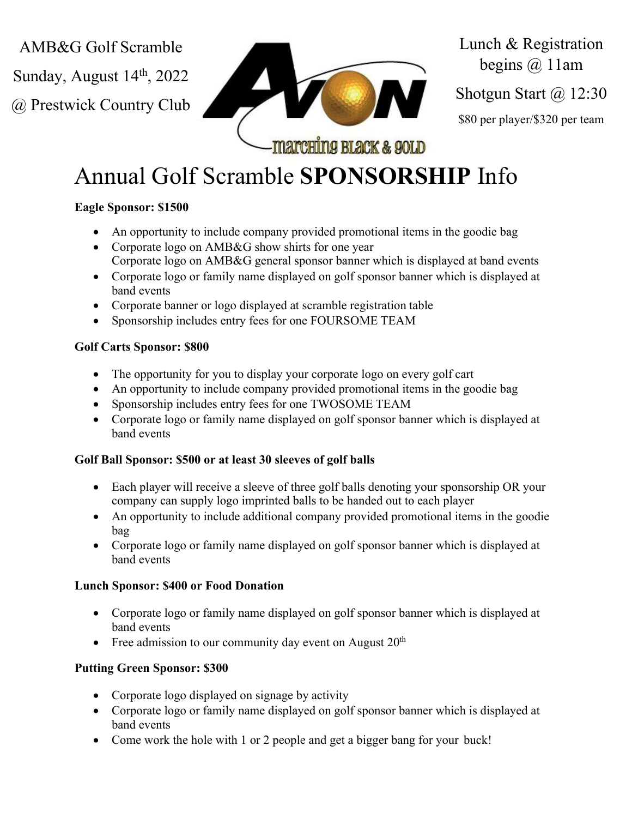AMB&G Golf Scramble

Sunday, August  $14<sup>th</sup>$ , 2022

@ Prestwick Country Club



Lunch & Registration begins  $(a)$  11am Shotgun Start @ 12:30 \$80 per player/\$320 per team

# Annual Golf Scramble **SPONSORSHIP** Info

## **Eagle Sponsor: \$1500**

- An opportunity to include company provided promotional items in the goodie bag
- Corporate logo on AMB&G show shirts for one year Corporate logo on AMB&G general sponsor banner which is displayed at band events
- Corporate logo or family name displayed on golf sponsor banner which is displayed at band events
- Corporate banner or logo displayed at scramble registration table
- Sponsorship includes entry fees for one FOURSOME TEAM

## **Golf Carts Sponsor: \$800**

- The opportunity for you to display your corporate logo on every golf cart
- An opportunity to include company provided promotional items in the goodie bag
- Sponsorship includes entry fees for one TWOSOME TEAM
- Corporate logo or family name displayed on golf sponsor banner which is displayed at band events

## **Golf Ball Sponsor: \$500 or at least 30 sleeves of golf balls**

- Each player will receive a sleeve of three golf balls denoting your sponsorship OR your company can supply logo imprinted balls to be handed out to each player
- An opportunity to include additional company provided promotional items in the goodie bag
- Corporate logo or family name displayed on golf sponsor banner which is displayed at band events

## **Lunch Sponsor: \$400 or Food Donation**

- Corporate logo or family name displayed on golf sponsor banner which is displayed at band events
- Free admission to our community day event on August  $20<sup>th</sup>$

# **Putting Green Sponsor: \$300**

- Corporate logo displayed on signage by activity
- Corporate logo or family name displayed on golf sponsor banner which is displayed at band events
- Come work the hole with 1 or 2 people and get a bigger bang for your buck!